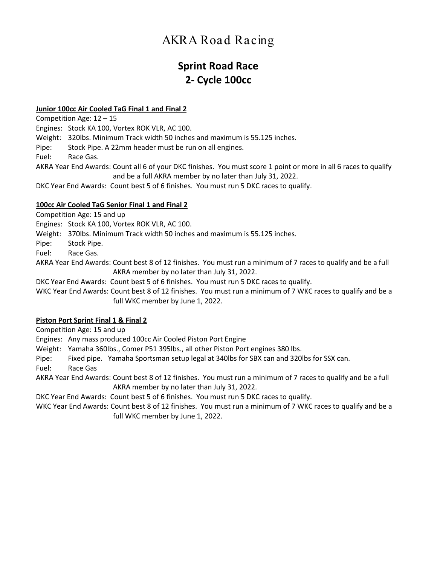# AKRA Road Racing

# **Sprint Road Race 2- Cycle 100cc**

#### **Junior 100cc Air Cooled TaG Final 1 and Final 2**

Competition Age: 12 – 15

Engines: Stock KA 100, Vortex ROK VLR, AC 100.

Weight: 320lbs. Minimum Track width 50 inches and maximum is 55.125 inches.

Pipe: Stock Pipe. A 22mm header must be run on all engines.

Fuel: Race Gas.

AKRA Year End Awards: Count all 6 of your DKC finishes. You must score 1 point or more in all 6 races to qualify and be a full AKRA member by no later than July 31, 2022.

DKC Year End Awards: Count best 5 of 6 finishes. You must run 5 DKC races to qualify.

### **100cc Air Cooled TaG Senior Final 1 and Final 2**

Competition Age: 15 and up

Engines: Stock KA 100, Vortex ROK VLR, AC 100.

Weight: 370lbs. Minimum Track width 50 inches and maximum is 55.125 inches.

Pipe: Stock Pipe.

Fuel: Race Gas.

AKRA Year End Awards: Count best 8 of 12 finishes. You must run a minimum of 7 races to qualify and be a full AKRA member by no later than July 31, 2022.

DKC Year End Awards: Count best 5 of 6 finishes. You must run 5 DKC races to qualify.

WKC Year End Awards: Count best 8 of 12 finishes. You must run a minimum of 7 WKC races to qualify and be a full WKC member by June 1, 2022.

# **Piston Port Sprint Final 1 & Final 2**

Competition Age: 15 and up

Engines: Any mass produced 100cc Air Cooled Piston Port Engine

Weight: Yamaha 360lbs., Comer P51 395lbs., all other Piston Port engines 380 lbs.

Pipe: Fixed pipe. Yamaha Sportsman setup legal at 340lbs for SBX can and 320lbs for SSX can.

Fuel: Race Gas

AKRA Year End Awards: Count best 8 of 12 finishes. You must run a minimum of 7 races to qualify and be a full AKRA member by no later than July 31, 2022.

DKC Year End Awards: Count best 5 of 6 finishes. You must run 5 DKC races to qualify.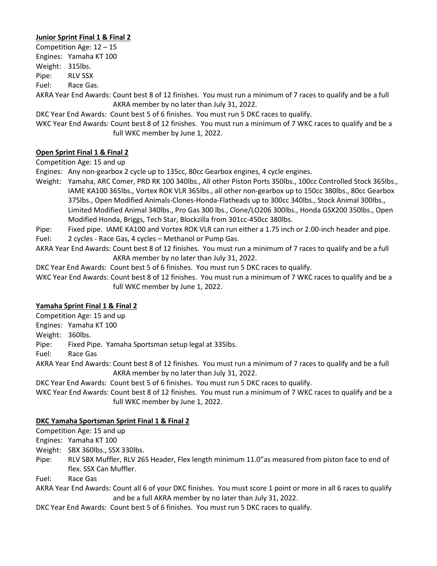### **Junior Sprint Final 1 & Final 2**

Competition Age: 12 – 15 Engines: Yamaha KT 100 Weight: 315lbs. Pipe: RLV SSX Fuel: Race Gas.

AKRA Year End Awards: Count best 8 of 12 finishes. You must run a minimum of 7 races to qualify and be a full AKRA member by no later than July 31, 2022.

DKC Year End Awards: Count best 5 of 6 finishes. You must run 5 DKC races to qualify.

WKC Year End Awards: Count best 8 of 12 finishes. You must run a minimum of 7 WKC races to qualify and be a full WKC member by June 1, 2022.

### **Open Sprint Final 1 & Final 2**

Competition Age: 15 and up

Engines: Any non-gearbox 2 cycle up to 135cc, 80cc Gearbox engines, 4 cycle engines.

- Weight: Yamaha, ARC Comer, PRD RK 100 340lbs., All other Piston Ports 350lbs., 100cc Controlled Stock 365lbs., IAME KA100 365lbs., Vortex ROK VLR 365lbs., all other non-gearbox up to 150cc 380lbs., 80cc Gearbox 375lbs., Open Modified Animals-Clones-Honda-Flatheads up to 300cc 340lbs., Stock Animal 300lbs., Limited Modified Animal 340lbs., Pro Gas 300 lbs., Clone/LO206 300lbs., Honda GSX200 350lbs., Open Modified Honda, Briggs, Tech Star, Blockzilla from 301cc-450cc 380lbs.
- Pipe: Fixed pipe. IAME KA100 and Vortex ROK VLR can run either a 1.75 inch or 2.00-inch header and pipe. Fuel: 2 cycles - Race Gas, 4 cycles – Methanol or Pump Gas.
- AKRA Year End Awards: Count best 8 of 12 finishes. You must run a minimum of 7 races to qualify and be a full AKRA member by no later than July 31, 2022.

DKC Year End Awards: Count best 5 of 6 finishes. You must run 5 DKC races to qualify.

WKC Year End Awards: Count best 8 of 12 finishes. You must run a minimum of 7 WKC races to qualify and be a full WKC member by June 1, 2022.

# **Yamaha Sprint Final 1 & Final 2**

Competition Age: 15 and up

Engines: Yamaha KT 100

Weight: 360lbs.

Pipe: Fixed Pipe. Yamaha Sportsman setup legal at 335lbs.

Fuel: Race Gas

AKRA Year End Awards: Count best 8 of 12 finishes. You must run a minimum of 7 races to qualify and be a full AKRA member by no later than July 31, 2022.

DKC Year End Awards: Count best 5 of 6 finishes. You must run 5 DKC races to qualify.

WKC Year End Awards: Count best 8 of 12 finishes. You must run a minimum of 7 WKC races to qualify and be a full WKC member by June 1, 2022.

#### **DKC Yamaha Sportsman Sprint Final 1 & Final 2**

Competition Age: 15 and up

Engines: Yamaha KT 100

Weight: SBX 360lbs., SSX 330lbs.

Pipe: RLV SBX Muffler, RLV 26S Header, Flex length minimum 11.0"as measured from piston face to end of flex. SSX Can Muffler.

Fuel: Race Gas

AKRA Year End Awards: Count all 6 of your DKC finishes. You must score 1 point or more in all 6 races to qualify and be a full AKRA member by no later than July 31, 2022.

DKC Year End Awards: Count best 5 of 6 finishes. You must run 5 DKC races to qualify.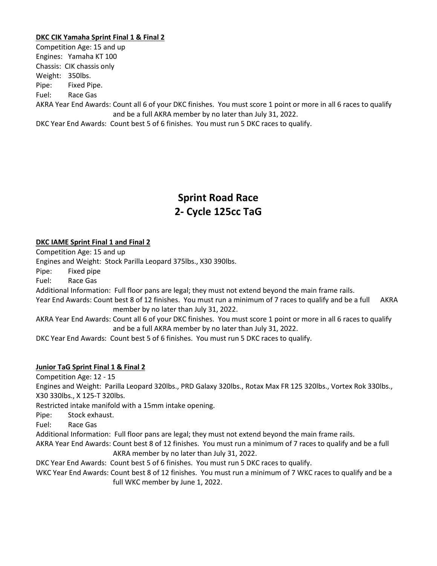#### **DKC CIK Yamaha Sprint Final 1 & Final 2**

Competition Age: 15 and up Engines: Yamaha KT 100 Chassis: CIK chassis only Weight: 350lbs. Pipe: Fixed Pipe. Fuel: Race Gas AKRA Year End Awards: Count all 6 of your DKC finishes. You must score 1 point or more in all 6 races to qualify and be a full AKRA member by no later than July 31, 2022. DKC Year End Awards: Count best 5 of 6 finishes. You must run 5 DKC races to qualify.

# **Sprint Road Race 2- Cycle 125cc TaG**

#### **DKC IAME Sprint Final 1 and Final 2**

Competition Age: 15 and up

Engines and Weight: Stock Parilla Leopard 375lbs., X30 390lbs.

Pipe: Fixed pipe

Fuel: Race Gas

Additional Information: Full floor pans are legal; they must not extend beyond the main frame rails.

Year End Awards: Count best 8 of 12 finishes. You must run a minimum of 7 races to qualify and be a full AKRA member by no later than July 31, 2022.

AKRA Year End Awards: Count all 6 of your DKC finishes. You must score 1 point or more in all 6 races to qualify and be a full AKRA member by no later than July 31, 2022.

DKC Year End Awards: Count best 5 of 6 finishes. You must run 5 DKC races to qualify.

#### **Junior TaG Sprint Final 1 & Final 2**

Competition Age: 12 - 15

Engines and Weight: Parilla Leopard 320lbs., PRD Galaxy 320lbs., Rotax Max FR 125 320lbs., Vortex Rok 330lbs., X30 330lbs., X 125-T 320lbs.

Restricted intake manifold with a 15mm intake opening.

Pipe: Stock exhaust.

Fuel: Race Gas

Additional Information: Full floor pans are legal; they must not extend beyond the main frame rails.

AKRA Year End Awards: Count best 8 of 12 finishes. You must run a minimum of 7 races to qualify and be a full AKRA member by no later than July 31, 2022.

DKC Year End Awards: Count best 5 of 6 finishes. You must run 5 DKC races to qualify.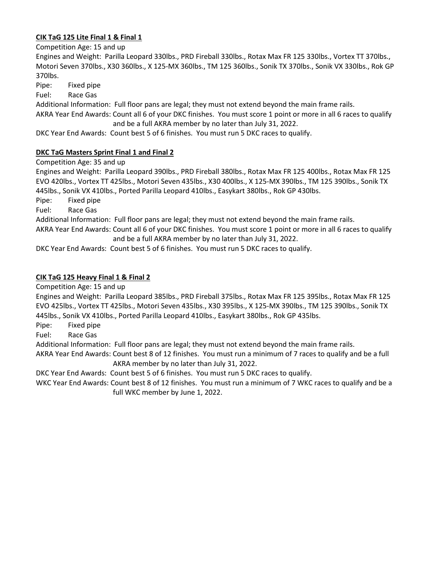# **CIK TaG 125 Lite Final 1 & Final 1**

Competition Age: 15 and up

Engines and Weight: Parilla Leopard 330lbs., PRD Fireball 330lbs., Rotax Max FR 125 330lbs., Vortex TT 370lbs., Motori Seven 370lbs., X30 360lbs., X 125-MX 360lbs., TM 125 360lbs., Sonik TX 370lbs., Sonik VX 330lbs., Rok GP 370lbs.

Pipe: Fixed pipe

Fuel: Race Gas

Additional Information: Full floor pans are legal; they must not extend beyond the main frame rails.

AKRA Year End Awards: Count all 6 of your DKC finishes. You must score 1 point or more in all 6 races to qualify and be a full AKRA member by no later than July 31, 2022.

DKC Year End Awards: Count best 5 of 6 finishes. You must run 5 DKC races to qualify.

# **DKC TaG Masters Sprint Final 1 and Final 2**

Competition Age: 35 and up

Engines and Weight: Parilla Leopard 390lbs., PRD Fireball 380lbs., Rotax Max FR 125 400lbs., Rotax Max FR 125 EVO 420lbs., Vortex TT 425lbs., Motori Seven 435lbs., X30 400lbs., X 125-MX 390lbs., TM 125 390lbs., Sonik TX 445lbs., Sonik VX 410lbs., Ported Parilla Leopard 410lbs., Easykart 380lbs., Rok GP 430lbs.

Pipe: Fixed pipe

Fuel: Race Gas

Additional Information: Full floor pans are legal; they must not extend beyond the main frame rails.

AKRA Year End Awards: Count all 6 of your DKC finishes. You must score 1 point or more in all 6 races to qualify and be a full AKRA member by no later than July 31, 2022.

DKC Year End Awards: Count best 5 of 6 finishes. You must run 5 DKC races to qualify.

# **CIK TaG 125 Heavy Final 1 & Final 2**

Competition Age: 15 and up

Engines and Weight: Parilla Leopard 385lbs., PRD Fireball 375lbs., Rotax Max FR 125 395lbs., Rotax Max FR 125 EVO 425lbs., Vortex TT 425lbs., Motori Seven 435lbs., X30 395lbs., X 125-MX 390lbs., TM 125 390lbs., Sonik TX 445lbs., Sonik VX 410lbs., Ported Parilla Leopard 410lbs., Easykart 380lbs., Rok GP 435lbs.

Pipe: Fixed pipe

Fuel: Race Gas

Additional Information: Full floor pans are legal; they must not extend beyond the main frame rails.

AKRA Year End Awards: Count best 8 of 12 finishes. You must run a minimum of 7 races to qualify and be a full AKRA member by no later than July 31, 2022.

DKC Year End Awards: Count best 5 of 6 finishes. You must run 5 DKC races to qualify.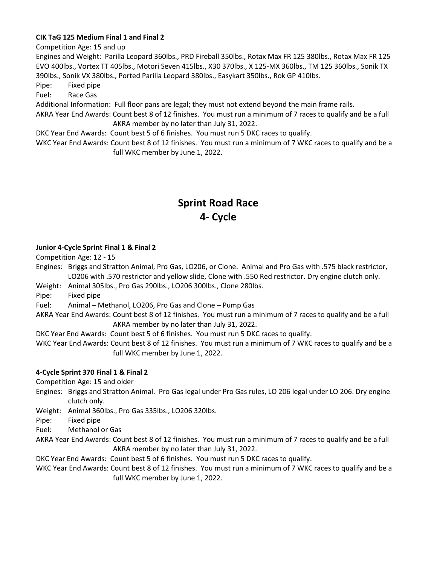# **CIK TaG 125 Medium Final 1 and Final 2**

Competition Age: 15 and up

Engines and Weight: Parilla Leopard 360lbs., PRD Fireball 350lbs., Rotax Max FR 125 380lbs., Rotax Max FR 125 EVO 400lbs., Vortex TT 405lbs., Motori Seven 415lbs., X30 370lbs., X 125-MX 360lbs., TM 125 360lbs., Sonik TX 390lbs., Sonik VX 380lbs., Ported Parilla Leopard 380lbs., Easykart 350lbs., Rok GP 410lbs.

Pipe: Fixed pipe

Fuel: Race Gas

Additional Information: Full floor pans are legal; they must not extend beyond the main frame rails.

AKRA Year End Awards: Count best 8 of 12 finishes. You must run a minimum of 7 races to qualify and be a full AKRA member by no later than July 31, 2022.

DKC Year End Awards: Count best 5 of 6 finishes. You must run 5 DKC races to qualify.

WKC Year End Awards: Count best 8 of 12 finishes. You must run a minimum of 7 WKC races to qualify and be a full WKC member by June 1, 2022.

# **Sprint Road Race 4- Cycle**

# **Junior 4-Cycle Sprint Final 1 & Final 2**

Competition Age: 12 - 15

Engines: Briggs and Stratton Animal, Pro Gas, LO206, or Clone. Animal and Pro Gas with .575 black restrictor, LO206 with .570 restrictor and yellow slide, Clone with .550 Red restrictor. Dry engine clutch only.

Weight: Animal 305lbs., Pro Gas 290lbs., LO206 300lbs., Clone 280lbs.

Pipe: Fixed pipe

Fuel: Animal – Methanol, LO206, Pro Gas and Clone – Pump Gas

AKRA Year End Awards: Count best 8 of 12 finishes. You must run a minimum of 7 races to qualify and be a full AKRA member by no later than July 31, 2022.

DKC Year End Awards: Count best 5 of 6 finishes. You must run 5 DKC races to qualify.

WKC Year End Awards: Count best 8 of 12 finishes. You must run a minimum of 7 WKC races to qualify and be a full WKC member by June 1, 2022.

# **4-Cycle Sprint 370 Final 1 & Final 2**

Competition Age: 15 and older

- Engines: Briggs and Stratton Animal. Pro Gas legal under Pro Gas rules, LO 206 legal under LO 206. Dry engine clutch only.
- Weight: Animal 360lbs., Pro Gas 335lbs., LO206 320lbs.

Pipe: Fixed pipe

Fuel: Methanol or Gas

AKRA Year End Awards: Count best 8 of 12 finishes. You must run a minimum of 7 races to qualify and be a full AKRA member by no later than July 31, 2022.

DKC Year End Awards: Count best 5 of 6 finishes. You must run 5 DKC races to qualify.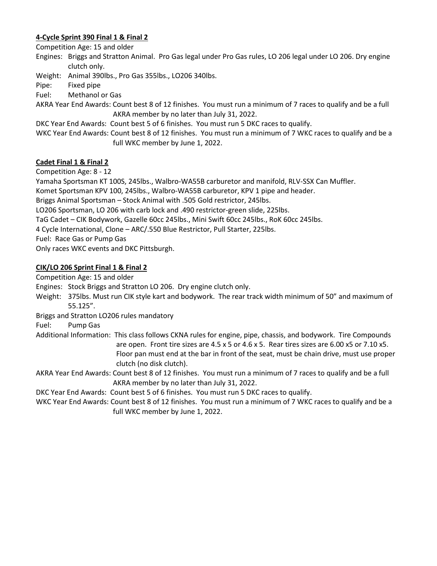# **4-Cycle Sprint 390 Final 1 & Final 2**

Competition Age: 15 and older

Engines: Briggs and Stratton Animal. Pro Gas legal under Pro Gas rules, LO 206 legal under LO 206. Dry engine clutch only.

Weight: Animal 390lbs., Pro Gas 355lbs., LO206 340lbs.

Pipe: Fixed pipe

Fuel: Methanol or Gas

AKRA Year End Awards: Count best 8 of 12 finishes. You must run a minimum of 7 races to qualify and be a full AKRA member by no later than July 31, 2022.

DKC Year End Awards: Count best 5 of 6 finishes. You must run 5 DKC races to qualify.

WKC Year End Awards: Count best 8 of 12 finishes. You must run a minimum of 7 WKC races to qualify and be a full WKC member by June 1, 2022.

### **Cadet Final 1 & Final 2**

Competition Age: 8 - 12

Yamaha Sportsman KT 100S, 245lbs., Walbro-WA55B carburetor and manifold, RLV-SSX Can Muffler.

Komet Sportsman KPV 100, 245lbs., Walbro-WA55B carburetor, KPV 1 pipe and header.

Briggs Animal Sportsman – Stock Animal with .505 Gold restrictor, 245lbs.

LO206 Sportsman, LO 206 with carb lock and .490 restrictor-green slide, 225lbs.

TaG Cadet – CIK Bodywork, Gazelle 60cc 245lbs., Mini Swift 60cc 245lbs., RoK 60cc 245lbs.

4 Cycle International, Clone – ARC/.550 Blue Restrictor, Pull Starter, 225lbs.

Fuel: Race Gas or Pump Gas

Only races WKC events and DKC Pittsburgh.

# **CIK/LO 206 Sprint Final 1 & Final 2**

Competition Age: 15 and older

Engines: Stock Briggs and Stratton LO 206. Dry engine clutch only.

Weight: 375lbs. Must run CIK style kart and bodywork. The rear track width minimum of 50" and maximum of 55.125".

Briggs and Stratton LO206 rules mandatory

Fuel: Pump Gas

Additional Information: This class follows CKNA rules for engine, pipe, chassis, and bodywork. Tire Compounds are open. Front tire sizes are  $4.5 \times 5$  or  $4.6 \times 5$ . Rear tires sizes are  $6.00 \times 5$  or  $7.10 \times 5$ . Floor pan must end at the bar in front of the seat, must be chain drive, must use proper clutch (no disk clutch).

AKRA Year End Awards: Count best 8 of 12 finishes. You must run a minimum of 7 races to qualify and be a full AKRA member by no later than July 31, 2022.

DKC Year End Awards: Count best 5 of 6 finishes. You must run 5 DKC races to qualify.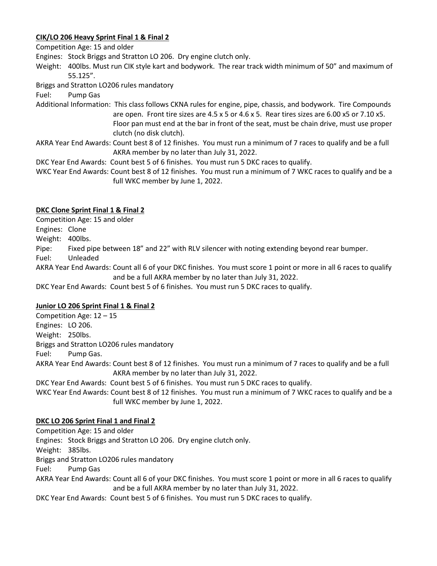# **CIK/LO 206 Heavy Sprint Final 1 & Final 2**

Competition Age: 15 and older

Engines: Stock Briggs and Stratton LO 206. Dry engine clutch only.

Weight: 400lbs. Must run CIK style kart and bodywork. The rear track width minimum of 50" and maximum of 55.125".

Briggs and Stratton LO206 rules mandatory

Fuel: Pump Gas

- Additional Information: This class follows CKNA rules for engine, pipe, chassis, and bodywork. Tire Compounds are open. Front tire sizes are 4.5 x 5 or 4.6 x 5. Rear tires sizes are 6.00 x5 or 7.10 x5. Floor pan must end at the bar in front of the seat, must be chain drive, must use proper clutch (no disk clutch).
- AKRA Year End Awards: Count best 8 of 12 finishes. You must run a minimum of 7 races to qualify and be a full AKRA member by no later than July 31, 2022.

DKC Year End Awards: Count best 5 of 6 finishes. You must run 5 DKC races to qualify.

WKC Year End Awards: Count best 8 of 12 finishes. You must run a minimum of 7 WKC races to qualify and be a full WKC member by June 1, 2022.

# **DKC Clone Sprint Final 1 & Final 2**

Competition Age: 15 and older

Engines: Clone

Weight: 400lbs.

Pipe: Fixed pipe between 18" and 22" with RLV silencer with noting extending beyond rear bumper.

Fuel: Unleaded

AKRA Year End Awards: Count all 6 of your DKC finishes. You must score 1 point or more in all 6 races to qualify and be a full AKRA member by no later than July 31, 2022.

DKC Year End Awards: Count best 5 of 6 finishes. You must run 5 DKC races to qualify.

# **Junior LO 206 Sprint Final 1 & Final 2**

Competition Age: 12 – 15 Engines: LO 206. Weight: 250lbs. Briggs and Stratton LO206 rules mandatory Fuel: Pump Gas. AKRA Year End Awards: Count best 8 of 12 finishes. You must run a minimum of 7 races to qualify and be a full AKRA member by no later than July 31, 2022. DKC Year End Awards: Count best 5 of 6 finishes. You must run 5 DKC races to qualify.

WKC Year End Awards: Count best 8 of 12 finishes. You must run a minimum of 7 WKC races to qualify and be a full WKC member by June 1, 2022.

#### **DKC LO 206 Sprint Final 1 and Final 2**

Competition Age: 15 and older Engines: Stock Briggs and Stratton LO 206. Dry engine clutch only. Weight: 385lbs. Briggs and Stratton LO206 rules mandatory Fuel: Pump Gas AKRA Year End Awards: Count all 6 of your DKC finishes. You must score 1 point or more in all 6 races to qualify and be a full AKRA member by no later than July 31, 2022. DKC Year End Awards: Count best 5 of 6 finishes. You must run 5 DKC races to qualify.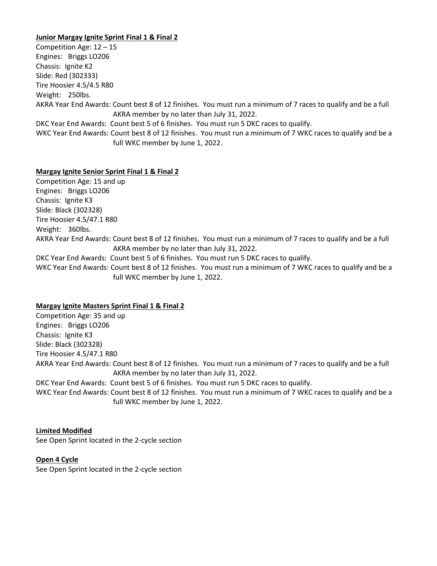#### **Junior Margay Ignite Sprint Final 1 & Final 2**

Competition Age: 12 – 15 Engines: Briggs LO206 Chassis: Ignite K2 Slide: Red (302333) Tire Hoosier 4.5/4.5 R80 Weight: 250lbs. AKRA Year End Awards: Count best 8 of 12 finishes. You must run a minimum of 7 races to qualify and be a full AKRA member by no later than July 31, 2022. DKC Year End Awards: Count best 5 of 6 finishes. You must run 5 DKC races to qualify. WKC Year End Awards: Count best 8 of 12 finishes. You must run a minimum of 7 WKC races to qualify and be a full WKC member by June 1, 2022.

#### **Margay Ignite Senior Sprint Final 1 & Final 2**

Competition Age: 15 and up Engines: Briggs LO206 Chassis: Ignite K3 Slide: Black (302328) Tire Hoosier 4.5/47.1 R80 Weight: 360lbs. AKRA Year End Awards: Count best 8 of 12 finishes. You must run a minimum of 7 races to qualify and be a full AKRA member by no later than July 31, 2022. DKC Year End Awards: Count best 5 of 6 finishes. You must run 5 DKC races to qualify. WKC Year End Awards: Count best 8 of 12 finishes. You must run a minimum of 7 WKC races to qualify and be a

full WKC member by June 1, 2022.

#### **Margay Ignite Masters Sprint Final 1 & Final 2**

Competition Age: 35 and up Engines: Briggs LO206 Chassis: Ignite K3 Slide: Black (302328) Tire Hoosier 4.5/47.1 R80 AKRA Year End Awards: Count best 8 of 12 finishes. You must run a minimum of 7 races to qualify and be a full AKRA member by no later than July 31, 2022. DKC Year End Awards: Count best 5 of 6 finishes. You must run 5 DKC races to qualify.

WKC Year End Awards: Count best 8 of 12 finishes. You must run a minimum of 7 WKC races to qualify and be a full WKC member by June 1, 2022.

**Limited Modified** See Open Sprint located in the 2-cycle section

**Open 4 Cycle** See Open Sprint located in the 2-cycle section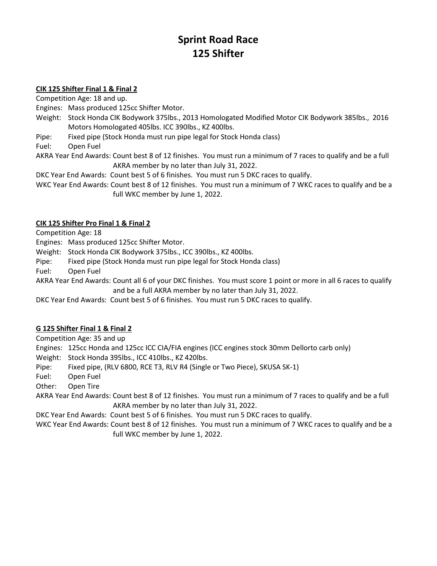# **Sprint Road Race 125 Shifter**

#### **CIK 125 Shifter Final 1 & Final 2**

Competition Age: 18 and up.

Engines: Mass produced 125cc Shifter Motor.

- Weight: Stock Honda CIK Bodywork 375lbs., 2013 Homologated Modified Motor CIK Bodywork 385lbs., 2016 Motors Homologated 405lbs. ICC 390lbs., KZ 400lbs.
- Pipe: Fixed pipe (Stock Honda must run pipe legal for Stock Honda class)

Fuel: Open Fuel

AKRA Year End Awards: Count best 8 of 12 finishes. You must run a minimum of 7 races to qualify and be a full AKRA member by no later than July 31, 2022.

DKC Year End Awards: Count best 5 of 6 finishes. You must run 5 DKC races to qualify.

WKC Year End Awards: Count best 8 of 12 finishes. You must run a minimum of 7 WKC races to qualify and be a full WKC member by June 1, 2022.

### **CIK 125 Shifter Pro Final 1 & Final 2**

Competition Age: 18

Engines: Mass produced 125cc Shifter Motor.

Weight: Stock Honda CIK Bodywork 375lbs., ICC 390lbs., KZ 400lbs.

Pipe: Fixed pipe (Stock Honda must run pipe legal for Stock Honda class)

Fuel: Open Fuel

AKRA Year End Awards: Count all 6 of your DKC finishes. You must score 1 point or more in all 6 races to qualify and be a full AKRA member by no later than July 31, 2022.

DKC Year End Awards: Count best 5 of 6 finishes. You must run 5 DKC races to qualify.

#### **G 125 Shifter Final 1 & Final 2**

Competition Age: 35 and up

Engines: 125cc Honda and 125cc ICC CIA/FIA engines (ICC engines stock 30mm Dellorto carb only)

Weight: Stock Honda 395lbs., ICC 410lbs., KZ 420lbs.

Pipe: Fixed pipe, (RLV 6800, RCE T3, RLV R4 (Single or Two Piece), SKUSA SK-1)

Fuel: Open Fuel

Other: Open Tire

AKRA Year End Awards: Count best 8 of 12 finishes. You must run a minimum of 7 races to qualify and be a full AKRA member by no later than July 31, 2022.

DKC Year End Awards: Count best 5 of 6 finishes. You must run 5 DKC races to qualify.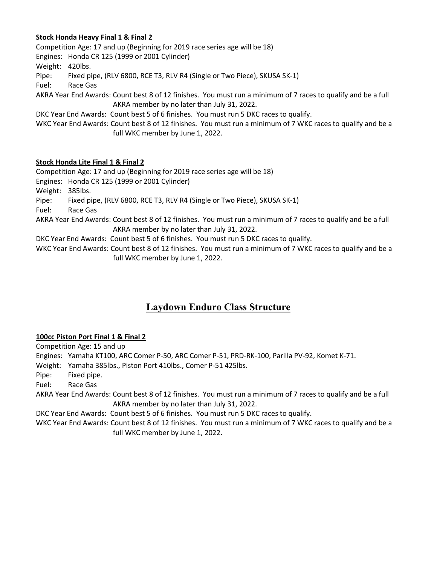### **Stock Honda Heavy Final 1 & Final 2**

Competition Age: 17 and up (Beginning for 2019 race series age will be 18) Engines: Honda CR 125 (1999 or 2001 Cylinder) Weight: 420lbs. Pipe: Fixed pipe, (RLV 6800, RCE T3, RLV R4 (Single or Two Piece), SKUSA SK-1) Fuel: Race Gas AKRA Year End Awards: Count best 8 of 12 finishes. You must run a minimum of 7 races to qualify and be a full AKRA member by no later than July 31, 2022. DKC Year End Awards: Count best 5 of 6 finishes. You must run 5 DKC races to qualify. WKC Year End Awards: Count best 8 of 12 finishes. You must run a minimum of 7 WKC races to qualify and be a full WKC member by June 1, 2022.

### **Stock Honda Lite Final 1 & Final 2**

Competition Age: 17 and up (Beginning for 2019 race series age will be 18) Engines: Honda CR 125 (1999 or 2001 Cylinder) Weight: 385lbs. Pipe: Fixed pipe, (RLV 6800, RCE T3, RLV R4 (Single or Two Piece), SKUSA SK-1) Fuel: Race Gas AKRA Year End Awards: Count best 8 of 12 finishes. You must run a minimum of 7 races to qualify and be a full AKRA member by no later than July 31, 2022. DKC Year End Awards: Count best 5 of 6 finishes. You must run 5 DKC races to qualify. WKC Year End Awards: Count best 8 of 12 finishes. You must run a minimum of 7 WKC races to qualify and be a full WKC member by June 1, 2022.

# **Laydown Enduro Class Structure**

# **100cc Piston Port Final 1 & Final 2**

Competition Age: 15 and up

Engines: Yamaha KT100, ARC Comer P-50, ARC Comer P-51, PRD-RK-100, Parilla PV-92, Komet K-71.

Weight: Yamaha 385lbs., Piston Port 410lbs., Comer P-51 425lbs.

Pipe: Fixed pipe.

Fuel: Race Gas

AKRA Year End Awards: Count best 8 of 12 finishes. You must run a minimum of 7 races to qualify and be a full AKRA member by no later than July 31, 2022.

DKC Year End Awards: Count best 5 of 6 finishes. You must run 5 DKC races to qualify.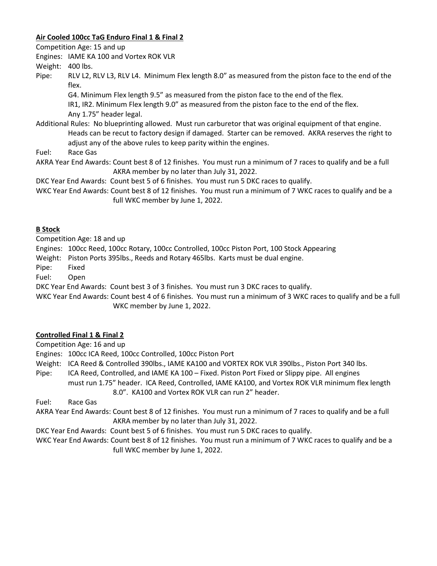### **Air Cooled 100cc TaG Enduro Final 1 & Final 2**

Competition Age: 15 and up

Engines: IAME KA 100 and Vortex ROK VLR

Weight: 400 lbs.

Pipe: RLV L2, RLV L3, RLV L4. Minimum Flex length 8.0" as measured from the piston face to the end of the flex.

G4. Minimum Flex length 9.5" as measured from the piston face to the end of the flex.

IR1, IR2. Minimum Flex length 9.0" as measured from the piston face to the end of the flex. Any 1.75" header legal.

Additional Rules: No blueprinting allowed. Must run carburetor that was original equipment of that engine. Heads can be recut to factory design if damaged. Starter can be removed. AKRA reserves the right to adjust any of the above rules to keep parity within the engines.

Fuel: Race Gas

AKRA Year End Awards: Count best 8 of 12 finishes. You must run a minimum of 7 races to qualify and be a full AKRA member by no later than July 31, 2022.

DKC Year End Awards: Count best 5 of 6 finishes. You must run 5 DKC races to qualify.

WKC Year End Awards: Count best 8 of 12 finishes. You must run a minimum of 7 WKC races to qualify and be a full WKC member by June 1, 2022.

# **B Stock**

Competition Age: 18 and up

Engines: 100cc Reed, 100cc Rotary, 100cc Controlled, 100cc Piston Port, 100 Stock Appearing

Weight: Piston Ports 395lbs., Reeds and Rotary 465lbs. Karts must be dual engine.

Pipe: Fixed

Fuel: Open

DKC Year End Awards: Count best 3 of 3 finishes. You must run 3 DKC races to qualify.

WKC Year End Awards: Count best 4 of 6 finishes. You must run a minimum of 3 WKC races to qualify and be a full WKC member by June 1, 2022.

# **Controlled Final 1 & Final 2**

Competition Age: 16 and up

Engines: 100cc ICA Reed, 100cc Controlled, 100cc Piston Port

Weight: ICA Reed & Controlled 390lbs., IAME KA100 and VORTEX ROK VLR 390lbs., Piston Port 340 lbs.

Pipe: ICA Reed, Controlled, and IAME KA 100 – Fixed. Piston Port Fixed or Slippy pipe. All engines must run 1.75" header. ICA Reed, Controlled, IAME KA100, and Vortex ROK VLR minimum flex length 8.0". KA100 and Vortex ROK VLR can run 2" header.

Fuel: Race Gas

AKRA Year End Awards: Count best 8 of 12 finishes. You must run a minimum of 7 races to qualify and be a full AKRA member by no later than July 31, 2022.

DKC Year End Awards: Count best 5 of 6 finishes. You must run 5 DKC races to qualify.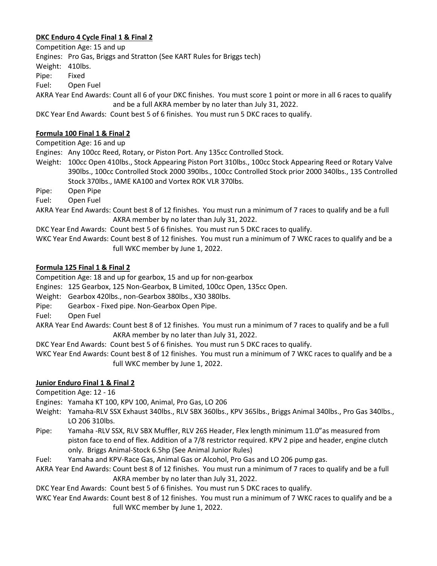# **DKC Enduro 4 Cycle Final 1 & Final 2**

Competition Age: 15 and up Engines: Pro Gas, Briggs and Stratton (See KART Rules for Briggs tech) Weight: 410lbs. Pipe: Fixed Fuel: Open Fuel AKRA Year End Awards: Count all 6 of your DKC finishes. You must score 1 point or more in all 6 races to qualify and be a full AKRA member by no later than July 31, 2022.

DKC Year End Awards: Count best 5 of 6 finishes. You must run 5 DKC races to qualify.

# **Formula 100 Final 1 & Final 2**

Competition Age: 16 and up

Engines: Any 100cc Reed, Rotary, or Piston Port. Any 135cc Controlled Stock.

- Weight: 100cc Open 410lbs., Stock Appearing Piston Port 310lbs., 100cc Stock Appearing Reed or Rotary Valve 390lbs., 100cc Controlled Stock 2000 390lbs., 100cc Controlled Stock prior 2000 340lbs., 135 Controlled Stock 370lbs., IAME KA100 and Vortex ROK VLR 370lbs.
- Pipe: Open Pipe
- Fuel: Open Fuel
- AKRA Year End Awards: Count best 8 of 12 finishes. You must run a minimum of 7 races to qualify and be a full AKRA member by no later than July 31, 2022.

DKC Year End Awards: Count best 5 of 6 finishes. You must run 5 DKC races to qualify.

WKC Year End Awards: Count best 8 of 12 finishes. You must run a minimum of 7 WKC races to qualify and be a full WKC member by June 1, 2022.

# **Formula 125 Final 1 & Final 2**

Competition Age: 18 and up for gearbox, 15 and up for non-gearbox

- Engines: 125 Gearbox, 125 Non-Gearbox, B Limited, 100cc Open, 135cc Open.
- Weight: Gearbox 420lbs., non-Gearbox 380lbs., X30 380lbs.
- Pipe: Gearbox Fixed pipe. Non-Gearbox Open Pipe.

Fuel: Open Fuel

- AKRA Year End Awards: Count best 8 of 12 finishes. You must run a minimum of 7 races to qualify and be a full AKRA member by no later than July 31, 2022.
- DKC Year End Awards: Count best 5 of 6 finishes. You must run 5 DKC races to qualify.
- WKC Year End Awards: Count best 8 of 12 finishes. You must run a minimum of 7 WKC races to qualify and be a full WKC member by June 1, 2022.

# **Junior Enduro Final 1 & Final 2**

Competition Age: 12 - 16

- Engines: Yamaha KT 100, KPV 100, Animal, Pro Gas, LO 206
- Weight: Yamaha-RLV SSX Exhaust 340lbs., RLV SBX 360lbs., KPV 365lbs., Briggs Animal 340lbs., Pro Gas 340lbs., LO 206 310lbs.
- Pipe: Yamaha -RLV SSX, RLV SBX Muffler, RLV 26S Header, Flex length minimum 11.0"as measured from piston face to end of flex. Addition of a 7/8 restrictor required. KPV 2 pipe and header, engine clutch only. Briggs Animal-Stock 6.5hp (See Animal Junior Rules)
- Fuel: Yamaha and KPV-Race Gas, Animal Gas or Alcohol, Pro Gas and LO 206 pump gas.
- AKRA Year End Awards: Count best 8 of 12 finishes. You must run a minimum of 7 races to qualify and be a full AKRA member by no later than July 31, 2022.

DKC Year End Awards: Count best 5 of 6 finishes. You must run 5 DKC races to qualify.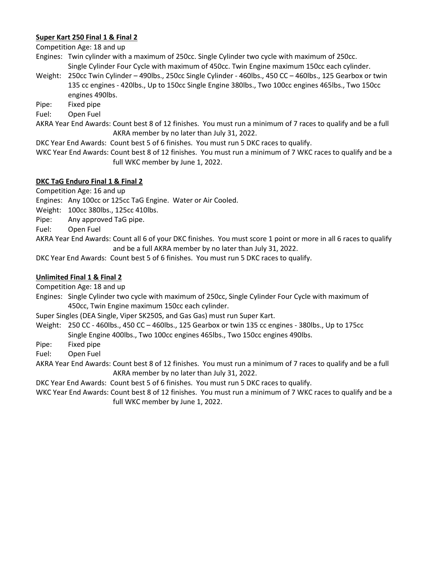# **Super Kart 250 Final 1 & Final 2**

Competition Age: 18 and up

Engines: Twin cylinder with a maximum of 250cc. Single Cylinder two cycle with maximum of 250cc. Single Cylinder Four Cycle with maximum of 450cc. Twin Engine maximum 150cc each cylinder.

- Weight: 250cc Twin Cylinder 490lbs., 250cc Single Cylinder 460lbs., 450 CC 460lbs., 125 Gearbox or twin 135 cc engines - 420lbs., Up to 150cc Single Engine 380lbs., Two 100cc engines 465lbs., Two 150cc engines 490lbs.
- Pipe: Fixed pipe

Fuel: Open Fuel

AKRA Year End Awards: Count best 8 of 12 finishes. You must run a minimum of 7 races to qualify and be a full AKRA member by no later than July 31, 2022.

DKC Year End Awards: Count best 5 of 6 finishes. You must run 5 DKC races to qualify.

WKC Year End Awards: Count best 8 of 12 finishes. You must run a minimum of 7 WKC races to qualify and be a full WKC member by June 1, 2022.

### **DKC TaG Enduro Final 1 & Final 2**

Competition Age: 16 and up

Engines: Any 100cc or 125cc TaG Engine. Water or Air Cooled.

- Weight: 100cc 380lbs., 125cc 410lbs.
- Pipe: Any approved TaG pipe.

Fuel: Open Fuel

AKRA Year End Awards: Count all 6 of your DKC finishes. You must score 1 point or more in all 6 races to qualify and be a full AKRA member by no later than July 31, 2022.

DKC Year End Awards: Count best 5 of 6 finishes. You must run 5 DKC races to qualify.

### **Unlimited Final 1 & Final 2**

Competition Age: 18 and up

Engines: Single Cylinder two cycle with maximum of 250cc, Single Cylinder Four Cycle with maximum of 450cc, Twin Engine maximum 150cc each cylinder.

Super Singles (DEA Single, Viper SK250S, and Gas Gas) must run Super Kart.

Weight: 250 CC - 460lbs., 450 CC – 460lbs., 125 Gearbox or twin 135 cc engines - 380lbs., Up to 175cc Single Engine 400lbs., Two 100cc engines 465lbs., Two 150cc engines 490lbs.

Pipe: Fixed pipe

Fuel: Open Fuel

AKRA Year End Awards: Count best 8 of 12 finishes. You must run a minimum of 7 races to qualify and be a full AKRA member by no later than July 31, 2022.

DKC Year End Awards: Count best 5 of 6 finishes. You must run 5 DKC races to qualify.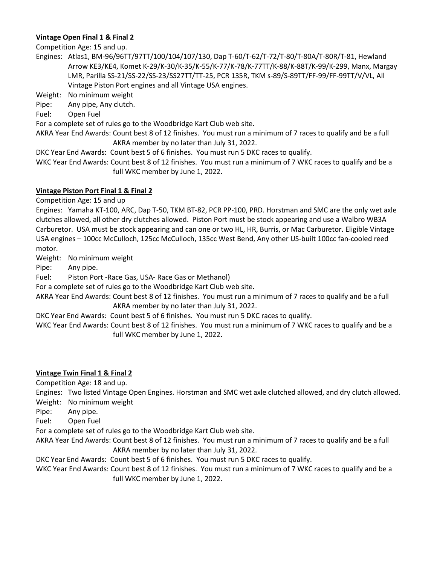# **Vintage Open Final 1 & Final 2**

Competition Age: 15 and up.

Engines: Atlas1, BM-96/96TT/97TT/100/104/107/130, Dap T-60/T-62/T-72/T-80/T-80A/T-80R/T-81, Hewland Arrow KE3/KE4, Komet K-29/K-30/K-35/K-55/K-77/K-78/K-77TT/K-88/K-88T/K-99/K-299, Manx, Margay LMR, Parilla SS-21/SS-22/SS-23/SS27TT/TT-25, PCR 135R, TKM s-89/S-89TT/FF-99/FF-99TT/V/VL, All Vintage Piston Port engines and all Vintage USA engines.

Weight: No minimum weight

Pipe: Any pipe, Any clutch.

Fuel: Open Fuel

For a complete set of rules go to the Woodbridge Kart Club web site.

AKRA Year End Awards: Count best 8 of 12 finishes. You must run a minimum of 7 races to qualify and be a full AKRA member by no later than July 31, 2022.

DKC Year End Awards: Count best 5 of 6 finishes. You must run 5 DKC races to qualify.

WKC Year End Awards: Count best 8 of 12 finishes. You must run a minimum of 7 WKC races to qualify and be a full WKC member by June 1, 2022.

# **Vintage Piston Port Final 1 & Final 2**

Competition Age: 15 and up

Engines: Yamaha KT-100, ARC, Dap T-50, TKM BT-82, PCR PP-100, PRD. Horstman and SMC are the only wet axle clutches allowed, all other dry clutches allowed. Piston Port must be stock appearing and use a Walbro WB3A Carburetor. USA must be stock appearing and can one or two HL, HR, Burris, or Mac Carburetor. Eligible Vintage USA engines – 100cc McCulloch, 125cc McCulloch, 135cc West Bend, Any other US-built 100cc fan-cooled reed motor.

Weight: No minimum weight

Pipe: Any pipe.

Fuel: Piston Port -Race Gas, USA- Race Gas or Methanol)

For a complete set of rules go to the Woodbridge Kart Club web site.

AKRA Year End Awards: Count best 8 of 12 finishes. You must run a minimum of 7 races to qualify and be a full AKRA member by no later than July 31, 2022.

DKC Year End Awards: Count best 5 of 6 finishes. You must run 5 DKC races to qualify.

WKC Year End Awards: Count best 8 of 12 finishes. You must run a minimum of 7 WKC races to qualify and be a full WKC member by June 1, 2022.

#### **Vintage Twin Final 1 & Final 2**

Competition Age: 18 and up.

Engines: Two listed Vintage Open Engines. Horstman and SMC wet axle clutched allowed, and dry clutch allowed. Weight: No minimum weight

Pipe: Any pipe.

Fuel: Open Fuel

For a complete set of rules go to the Woodbridge Kart Club web site.

AKRA Year End Awards: Count best 8 of 12 finishes. You must run a minimum of 7 races to qualify and be a full AKRA member by no later than July 31, 2022.

DKC Year End Awards: Count best 5 of 6 finishes. You must run 5 DKC races to qualify.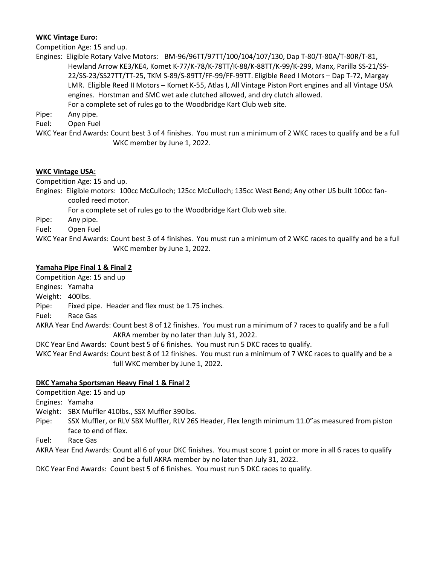### **WKC Vintage Euro:**

Competition Age: 15 and up.

Engines: Eligible Rotary Valve Motors: BM-96/96TT/97TT/100/104/107/130, Dap T-80/T-80A/T-80R/T-81, Hewland Arrow KE3/KE4, Komet K-77/K-78/K-78TT/K-88/K-88TT/K-99/K-299, Manx, Parilla SS-21/SS-22/SS-23/SS27TT/TT-25, TKM S-89/S-89TT/FF-99/FF-99TT. Eligible Reed I Motors – Dap T-72, Margay LMR. Eligible Reed II Motors – Komet K-55, Atlas I, All Vintage Piston Port engines and all Vintage USA engines. Horstman and SMC wet axle clutched allowed, and dry clutch allowed.

For a complete set of rules go to the Woodbridge Kart Club web site.

Pipe: Any pipe.

Fuel: Open Fuel

WKC Year End Awards: Count best 3 of 4 finishes. You must run a minimum of 2 WKC races to qualify and be a full WKC member by June 1, 2022.

#### **WKC Vintage USA:**

Competition Age: 15 and up.

Engines: Eligible motors: 100cc McCulloch; 125cc McCulloch; 135cc West Bend; Any other US built 100cc fancooled reed motor.

For a complete set of rules go to the Woodbridge Kart Club web site.

Pipe: Any pipe.

Fuel: Open Fuel

WKC Year End Awards: Count best 3 of 4 finishes. You must run a minimum of 2 WKC races to qualify and be a full WKC member by June 1, 2022.

# **Yamaha Pipe Final 1 & Final 2**

Competition Age: 15 and up

Engines: Yamaha

Weight: 400lbs.

Pipe: Fixed pipe. Header and flex must be 1.75 inches.

Fuel: Race Gas

AKRA Year End Awards: Count best 8 of 12 finishes. You must run a minimum of 7 races to qualify and be a full AKRA member by no later than July 31, 2022.

DKC Year End Awards: Count best 5 of 6 finishes. You must run 5 DKC races to qualify.

WKC Year End Awards: Count best 8 of 12 finishes. You must run a minimum of 7 WKC races to qualify and be a full WKC member by June 1, 2022.

#### **DKC Yamaha Sportsman Heavy Final 1 & Final 2**

Competition Age: 15 and up

Engines: Yamaha

Weight: SBX Muffler 410lbs., SSX Muffler 390lbs.

Pipe: SSX Muffler, or RLV SBX Muffler, RLV 26S Header, Flex length minimum 11.0"as measured from piston face to end of flex.

Fuel: Race Gas

AKRA Year End Awards: Count all 6 of your DKC finishes. You must score 1 point or more in all 6 races to qualify and be a full AKRA member by no later than July 31, 2022.

DKC Year End Awards: Count best 5 of 6 finishes. You must run 5 DKC races to qualify.